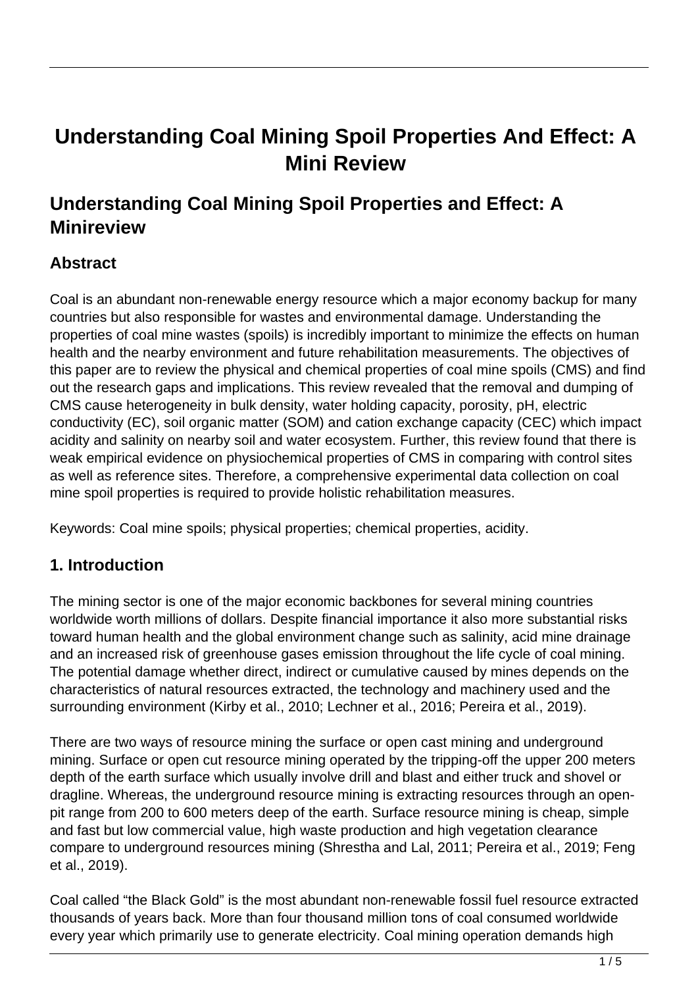# **Understanding Coal Mining Spoil Properties And Effect: A Mini Review**

# **Understanding Coal Mining Spoil Properties and Effect: A Minireview**

# **Abstract**

Coal is an abundant non-renewable energy resource which a major economy backup for many countries but also responsible for wastes and environmental damage. Understanding the properties of coal mine wastes (spoils) is incredibly important to minimize the effects on human health and the nearby environment and future rehabilitation measurements. The objectives of this paper are to review the physical and chemical properties of coal mine spoils (CMS) and find out the research gaps and implications. This review revealed that the removal and dumping of CMS cause heterogeneity in bulk density, water holding capacity, porosity, pH, electric conductivity (EC), soil organic matter (SOM) and cation exchange capacity (CEC) which impact acidity and salinity on nearby soil and water ecosystem. Further, this review found that there is weak empirical evidence on physiochemical properties of CMS in comparing with control sites as well as reference sites. Therefore, a comprehensive experimental data collection on coal mine spoil properties is required to provide holistic rehabilitation measures.

Keywords: Coal mine spoils; physical properties; chemical properties, acidity.

### **1. Introduction**

The mining sector is one of the major economic backbones for several mining countries worldwide worth millions of dollars. Despite financial importance it also more substantial risks toward human health and the global environment change such as salinity, acid mine drainage and an increased risk of greenhouse gases emission throughout the life cycle of coal mining. The potential damage whether direct, indirect or cumulative caused by mines depends on the characteristics of natural resources extracted, the technology and machinery used and the surrounding environment (Kirby et al., 2010; Lechner et al., 2016; Pereira et al., 2019).

There are two ways of resource mining the surface or open cast mining and underground mining. Surface or open cut resource mining operated by the tripping-off the upper 200 meters depth of the earth surface which usually involve drill and blast and either truck and shovel or dragline. Whereas, the underground resource mining is extracting resources through an openpit range from 200 to 600 meters deep of the earth. Surface resource mining is cheap, simple and fast but low commercial value, high waste production and high vegetation clearance compare to underground resources mining (Shrestha and Lal, 2011; Pereira et al., 2019; Feng et al., 2019).

Coal called "the Black Gold" is the most abundant non-renewable fossil fuel resource extracted thousands of years back. More than four thousand million tons of coal consumed worldwide every year which primarily use to generate electricity. Coal mining operation demands high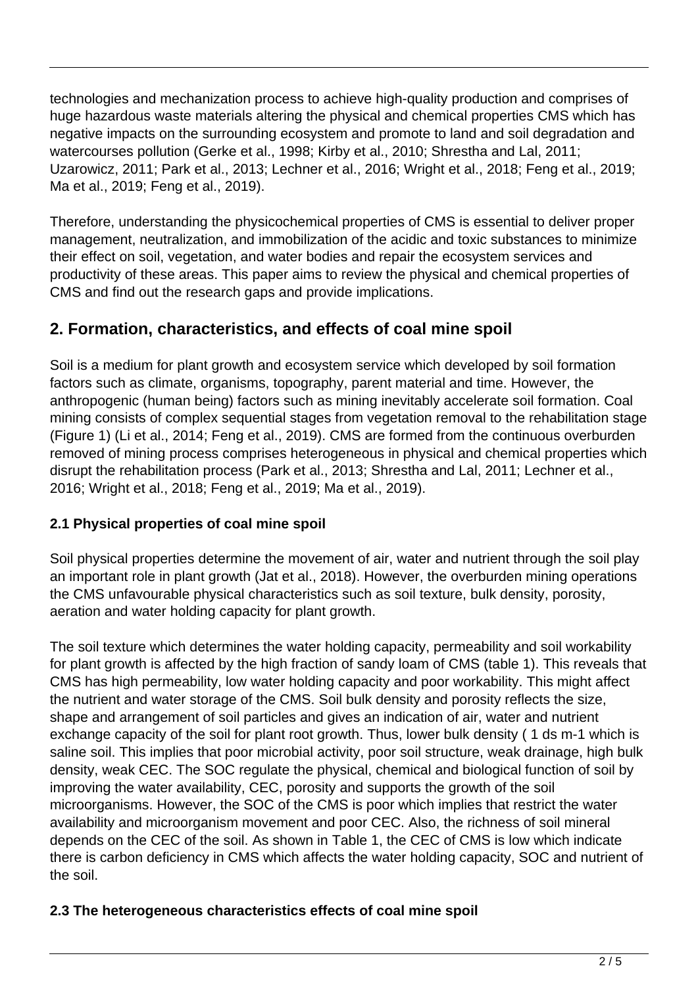technologies and mechanization process to achieve high-quality production and comprises of huge hazardous waste materials altering the physical and chemical properties CMS which has negative impacts on the surrounding ecosystem and promote to land and soil degradation and watercourses pollution (Gerke et al., 1998; Kirby et al., 2010; Shrestha and Lal, 2011; Uzarowicz, 2011; Park et al., 2013; Lechner et al., 2016; Wright et al., 2018; Feng et al., 2019; Ma et al., 2019; Feng et al., 2019).

Therefore, understanding the physicochemical properties of CMS is essential to deliver proper management, neutralization, and immobilization of the acidic and toxic substances to minimize their effect on soil, vegetation, and water bodies and repair the ecosystem services and productivity of these areas. This paper aims to review the physical and chemical properties of CMS and find out the research gaps and provide implications.

# **2. Formation, characteristics, and effects of coal mine spoil**

Soil is a medium for plant growth and ecosystem service which developed by soil formation factors such as climate, organisms, topography, parent material and time. However, the anthropogenic (human being) factors such as mining inevitably accelerate soil formation. Coal mining consists of complex sequential stages from vegetation removal to the rehabilitation stage (Figure 1) (Li et al., 2014; Feng et al., 2019). CMS are formed from the continuous overburden removed of mining process comprises heterogeneous in physical and chemical properties which disrupt the rehabilitation process (Park et al., 2013; Shrestha and Lal, 2011; Lechner et al., 2016; Wright et al., 2018; Feng et al., 2019; Ma et al., 2019).

### **2.1 Physical properties of coal mine spoil**

Soil physical properties determine the movement of air, water and nutrient through the soil play an important role in plant growth (Jat et al., 2018). However, the overburden mining operations the CMS unfavourable physical characteristics such as soil texture, bulk density, porosity, aeration and water holding capacity for plant growth.

The soil texture which determines the water holding capacity, permeability and soil workability for plant growth is affected by the high fraction of sandy loam of CMS (table 1). This reveals that CMS has high permeability, low water holding capacity and poor workability. This might affect the nutrient and water storage of the CMS. Soil bulk density and porosity reflects the size, shape and arrangement of soil particles and gives an indication of air, water and nutrient exchange capacity of the soil for plant root growth. Thus, lower bulk density ( 1 ds m-1 which is saline soil. This implies that poor microbial activity, poor soil structure, weak drainage, high bulk density, weak CEC. The SOC regulate the physical, chemical and biological function of soil by improving the water availability, CEC, porosity and supports the growth of the soil microorganisms. However, the SOC of the CMS is poor which implies that restrict the water availability and microorganism movement and poor CEC. Also, the richness of soil mineral depends on the CEC of the soil. As shown in Table 1, the CEC of CMS is low which indicate there is carbon deficiency in CMS which affects the water holding capacity, SOC and nutrient of the soil.

### **2.3 The heterogeneous characteristics effects of coal mine spoil**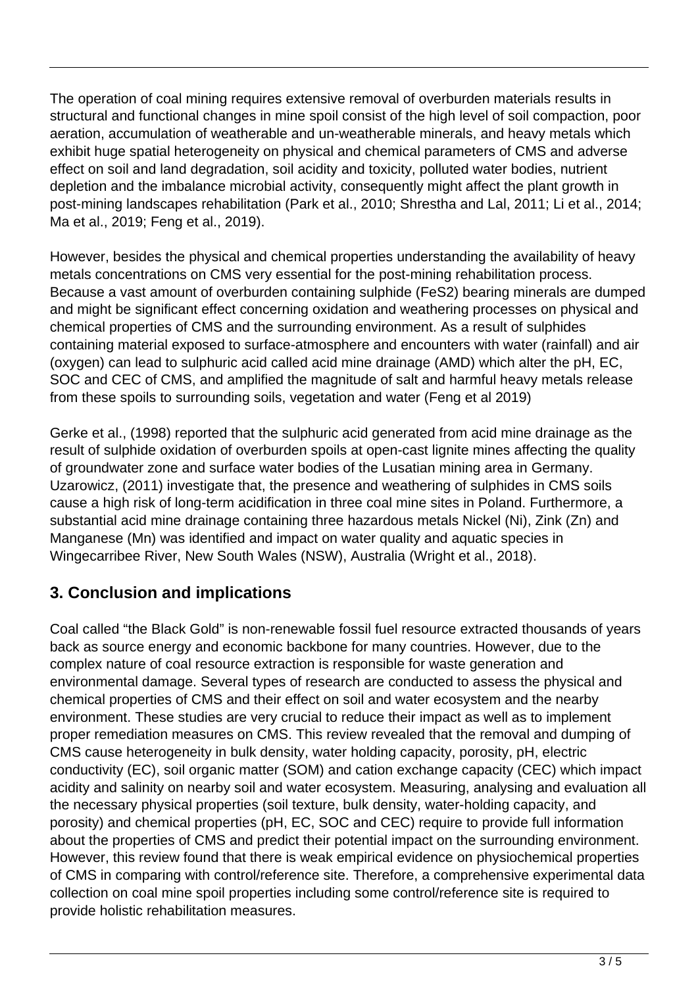The operation of coal mining requires extensive removal of overburden materials results in structural and functional changes in mine spoil consist of the high level of soil compaction, poor aeration, accumulation of weatherable and un-weatherable minerals, and heavy metals which exhibit huge spatial heterogeneity on physical and chemical parameters of CMS and adverse effect on soil and land degradation, soil acidity and toxicity, polluted water bodies, nutrient depletion and the imbalance microbial activity, consequently might affect the plant growth in post-mining landscapes rehabilitation (Park et al., 2010; Shrestha and Lal, 2011; Li et al., 2014; Ma et al., 2019; Feng et al., 2019).

However, besides the physical and chemical properties understanding the availability of heavy metals concentrations on CMS very essential for the post-mining rehabilitation process. Because a vast amount of overburden containing sulphide (FeS2) bearing minerals are dumped and might be significant effect concerning oxidation and weathering processes on physical and chemical properties of CMS and the surrounding environment. As a result of sulphides containing material exposed to surface-atmosphere and encounters with water (rainfall) and air (oxygen) can lead to sulphuric acid called acid mine drainage (AMD) which alter the pH, EC, SOC and CEC of CMS, and amplified the magnitude of salt and harmful heavy metals release from these spoils to surrounding soils, vegetation and water (Feng et al 2019)

Gerke et al., (1998) reported that the sulphuric acid generated from acid mine drainage as the result of sulphide oxidation of overburden spoils at open-cast lignite mines affecting the quality of groundwater zone and surface water bodies of the Lusatian mining area in Germany. Uzarowicz, (2011) investigate that, the presence and weathering of sulphides in CMS soils cause a high risk of long-term acidification in three coal mine sites in Poland. Furthermore, a substantial acid mine drainage containing three hazardous metals Nickel (Ni), Zink (Zn) and Manganese (Mn) was identified and impact on water quality and aquatic species in Wingecarribee River, New South Wales (NSW), Australia (Wright et al., 2018).

# **3. Conclusion and implications**

Coal called "the Black Gold" is non-renewable fossil fuel resource extracted thousands of years back as source energy and economic backbone for many countries. However, due to the complex nature of coal resource extraction is responsible for waste generation and environmental damage. Several types of research are conducted to assess the physical and chemical properties of CMS and their effect on soil and water ecosystem and the nearby environment. These studies are very crucial to reduce their impact as well as to implement proper remediation measures on CMS. This review revealed that the removal and dumping of CMS cause heterogeneity in bulk density, water holding capacity, porosity, pH, electric conductivity (EC), soil organic matter (SOM) and cation exchange capacity (CEC) which impact acidity and salinity on nearby soil and water ecosystem. Measuring, analysing and evaluation all the necessary physical properties (soil texture, bulk density, water-holding capacity, and porosity) and chemical properties (pH, EC, SOC and CEC) require to provide full information about the properties of CMS and predict their potential impact on the surrounding environment. However, this review found that there is weak empirical evidence on physiochemical properties of CMS in comparing with control/reference site. Therefore, a comprehensive experimental data collection on coal mine spoil properties including some control/reference site is required to provide holistic rehabilitation measures.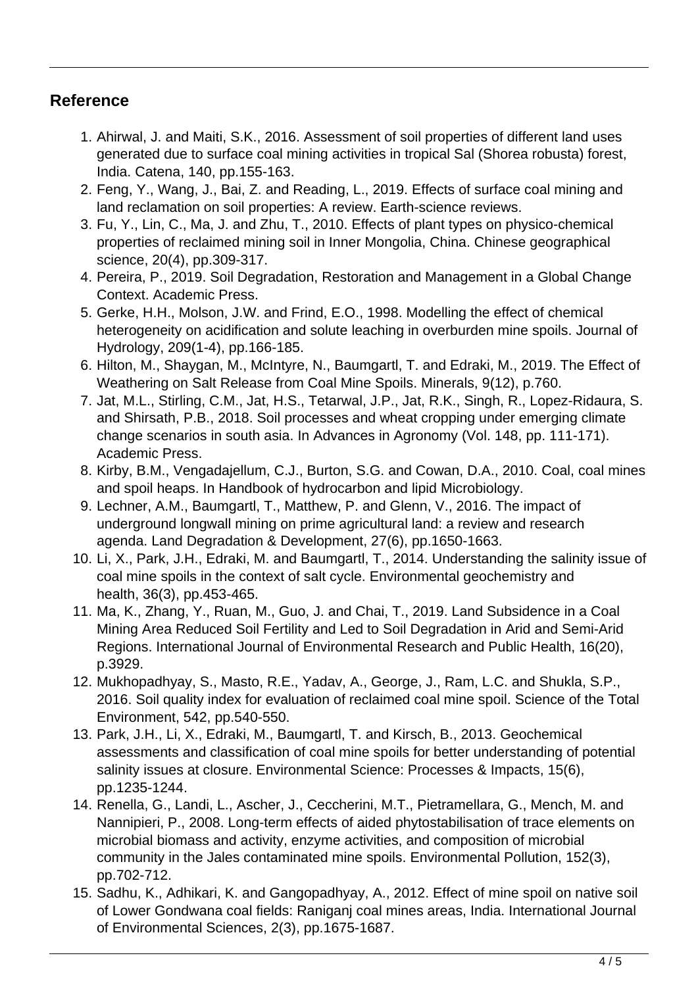### **Reference**

- 1. Ahirwal, J. and Maiti, S.K., 2016. Assessment of soil properties of different land uses generated due to surface coal mining activities in tropical Sal (Shorea robusta) forest, India. Catena, 140, pp.155-163.
- 2. Feng, Y., Wang, J., Bai, Z. and Reading, L., 2019. Effects of surface coal mining and land reclamation on soil properties: A review. Earth-science reviews.
- 3. Fu, Y., Lin, C., Ma, J. and Zhu, T., 2010. Effects of plant types on physico-chemical properties of reclaimed mining soil in Inner Mongolia, China. Chinese geographical science, 20(4), pp.309-317.
- 4. Pereira, P., 2019. Soil Degradation, Restoration and Management in a Global Change Context. Academic Press.
- 5. Gerke, H.H., Molson, J.W. and Frind, E.O., 1998. Modelling the effect of chemical heterogeneity on acidification and solute leaching in overburden mine spoils. Journal of Hydrology, 209(1-4), pp.166-185.
- 6. Hilton, M., Shaygan, M., McIntyre, N., Baumgartl, T. and Edraki, M., 2019. The Effect of Weathering on Salt Release from Coal Mine Spoils. Minerals, 9(12), p.760.
- 7. Jat, M.L., Stirling, C.M., Jat, H.S., Tetarwal, J.P., Jat, R.K., Singh, R., Lopez-Ridaura, S. and Shirsath, P.B., 2018. Soil processes and wheat cropping under emerging climate change scenarios in south asia. In Advances in Agronomy (Vol. 148, pp. 111-171). Academic Press.
- 8. Kirby, B.M., Vengadajellum, C.J., Burton, S.G. and Cowan, D.A., 2010. Coal, coal mines and spoil heaps. In Handbook of hydrocarbon and lipid Microbiology.
- 9. Lechner, A.M., Baumgartl, T., Matthew, P. and Glenn, V., 2016. The impact of underground longwall mining on prime agricultural land: a review and research agenda. Land Degradation & Development, 27(6), pp.1650-1663.
- 10. Li, X., Park, J.H., Edraki, M. and Baumgartl, T., 2014. Understanding the salinity issue of coal mine spoils in the context of salt cycle. Environmental geochemistry and health, 36(3), pp.453-465.
- 11. Ma, K., Zhang, Y., Ruan, M., Guo, J. and Chai, T., 2019. Land Subsidence in a Coal Mining Area Reduced Soil Fertility and Led to Soil Degradation in Arid and Semi-Arid Regions. International Journal of Environmental Research and Public Health, 16(20), p.3929.
- 12. Mukhopadhyay, S., Masto, R.E., Yadav, A., George, J., Ram, L.C. and Shukla, S.P., 2016. Soil quality index for evaluation of reclaimed coal mine spoil. Science of the Total Environment, 542, pp.540-550.
- 13. Park, J.H., Li, X., Edraki, M., Baumgartl, T. and Kirsch, B., 2013. Geochemical assessments and classification of coal mine spoils for better understanding of potential salinity issues at closure. Environmental Science: Processes & Impacts, 15(6), pp.1235-1244.
- 14. Renella, G., Landi, L., Ascher, J., Ceccherini, M.T., Pietramellara, G., Mench, M. and Nannipieri, P., 2008. Long-term effects of aided phytostabilisation of trace elements on microbial biomass and activity, enzyme activities, and composition of microbial community in the Jales contaminated mine spoils. Environmental Pollution, 152(3), pp.702-712.
- 15. Sadhu, K., Adhikari, K. and Gangopadhyay, A., 2012. Effect of mine spoil on native soil of Lower Gondwana coal fields: Raniganj coal mines areas, India. International Journal of Environmental Sciences, 2(3), pp.1675-1687.